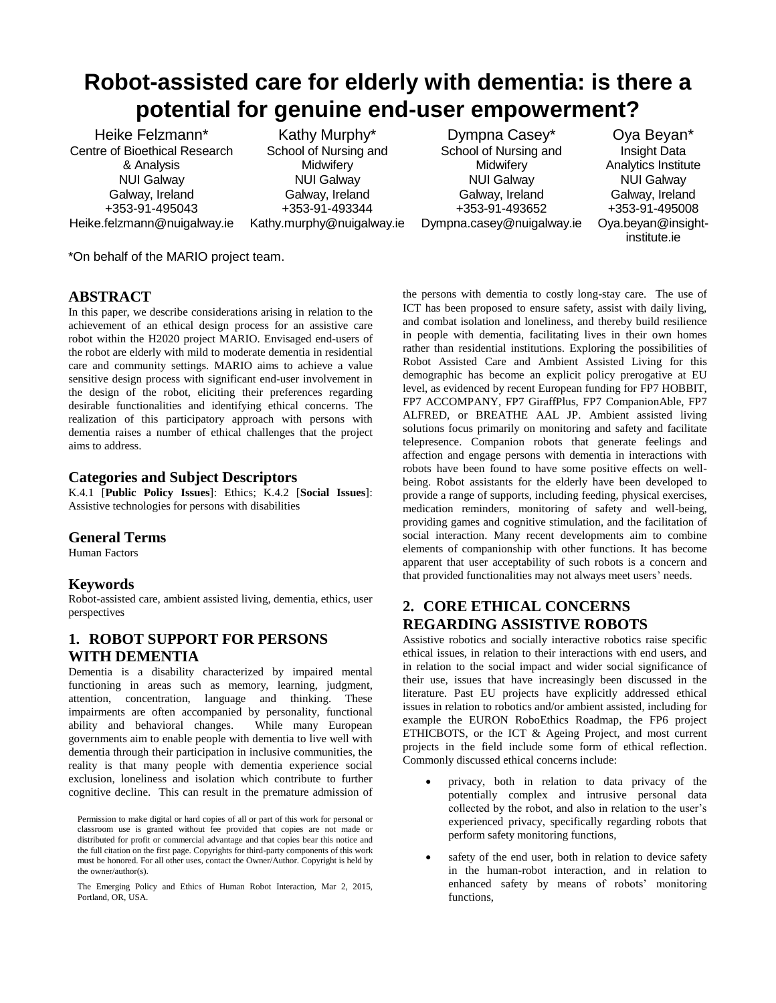# **Robot-assisted care for elderly with dementia: is there a potential for genuine end-user empowerment?**

Heike Felzmann\* Centre of Bioethical Research & Analysis NUI Galway Galway, Ireland +353-91-495043 Heike.felzmann@nuigalway.ie

Kathy Murphy\* School of Nursing and **Midwifery** NUI Galway Galway, Ireland +353-91-493344 Kathy.murphy@nuigalway.ie

Dympna Casey\* School of Nursing and **Midwifery** NUI Galway Galway, Ireland +353-91-493652 Dympna.casey@nuigalway.ie

Oya Beyan\* Insight Data Analytics Institute NUI Galway Galway, Ireland +353-91-495008 Oya.beyan@insightinstitute.ie

\*On behalf of the MARIO project team.

### **ABSTRACT**

In this paper, we describe considerations arising in relation to the achievement of an ethical design process for an assistive care robot within the H2020 project MARIO. Envisaged end-users of the robot are elderly with mild to moderate dementia in residential care and community settings. MARIO aims to achieve a value sensitive design process with significant end-user involvement in the design of the robot, eliciting their preferences regarding desirable functionalities and identifying ethical concerns. The realization of this participatory approach with persons with dementia raises a number of ethical challenges that the project aims to address.

#### **Categories and Subject Descriptors**

K.4.1 [**Public Policy Issues**]: Ethics; K.4.2 [**Social Issues**]: Assistive technologies for persons with disabilities

### **General Terms**

Human Factors

### **Keywords**

Robot-assisted care, ambient assisted living, dementia, ethics, user perspectives

## **1. ROBOT SUPPORT FOR PERSONS WITH DEMENTIA**

Dementia is a disability characterized by impaired mental functioning in areas such as memory, learning, judgment, attention, concentration, language and thinking. These impairments are often accompanied by personality, functional ability and behavioral changes. While many European governments aim to enable people with dementia to live well with dementia through their participation in inclusive communities, the reality is that many people with dementia experience social exclusion, loneliness and isolation which contribute to further cognitive decline. This can result in the premature admission of

the persons with dementia to costly long-stay care. The use of ICT has been proposed to ensure safety, assist with daily living, and combat isolation and loneliness, and thereby build resilience in people with dementia, facilitating lives in their own homes rather than residential institutions. Exploring the possibilities of Robot Assisted Care and Ambient Assisted Living for this demographic has become an explicit policy prerogative at EU level, as evidenced by recent European funding for FP7 HOBBIT, FP7 ACCOMPANY, FP7 GiraffPlus, FP7 CompanionAble, FP7 ALFRED, or BREATHE AAL JP. Ambient assisted living solutions focus primarily on monitoring and safety and facilitate telepresence. Companion robots that generate feelings and affection and engage persons with dementia in interactions with robots have been found to have some positive effects on wellbeing. Robot assistants for the elderly have been developed to provide a range of supports, including feeding, physical exercises, medication reminders, monitoring of safety and well-being, providing games and cognitive stimulation, and the facilitation of social interaction. Many recent developments aim to combine elements of companionship with other functions. It has become apparent that user acceptability of such robots is a concern and that provided functionalities may not always meet users' needs.

## **2. CORE ETHICAL CONCERNS REGARDING ASSISTIVE ROBOTS**

Assistive robotics and socially interactive robotics raise specific ethical issues, in relation to their interactions with end users, and in relation to the social impact and wider social significance of their use, issues that have increasingly been discussed in the literature. Past EU projects have explicitly addressed ethical issues in relation to robotics and/or ambient assisted, including for example the EURON RoboEthics Roadmap, the FP6 project ETHICBOTS, or the ICT & Ageing Project, and most current projects in the field include some form of ethical reflection. Commonly discussed ethical concerns include:

- privacy, both in relation to data privacy of the potentially complex and intrusive personal data collected by the robot, and also in relation to the user's experienced privacy, specifically regarding robots that perform safety monitoring functions,
- safety of the end user, both in relation to device safety in the human-robot interaction, and in relation to enhanced safety by means of robots' monitoring functions,

Permission to make digital or hard copies of all or part of this work for personal or classroom use is granted without fee provided that copies are not made or distributed for profit or commercial advantage and that copies bear this notice and the full citation on the first page. Copyrights for third-party components of this work must be honored. For all other uses, contact the Owner/Author. Copyright is held by the owner/author(s).

The Emerging Policy and Ethics of Human Robot Interaction, Mar 2, 2015, Portland, OR, USA.